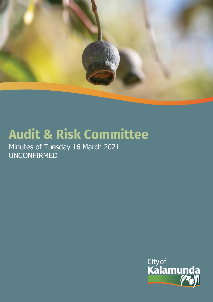

# **Audit & Risk Committee**

Minutes of Tuesday 16 March 2021 UNCONFIRMED

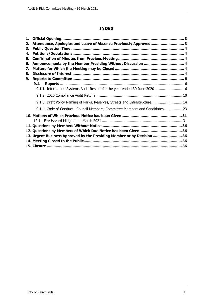# **INDEX**

| 1. |                                                                               |  |
|----|-------------------------------------------------------------------------------|--|
| 2. | Attendance, Apologies and Leave of Absence Previously Approved 3              |  |
| 3. |                                                                               |  |
| 4. |                                                                               |  |
| 5. |                                                                               |  |
| 6. | Announcements by the Member Presiding Without Discussion  4                   |  |
| 7. |                                                                               |  |
| 8. |                                                                               |  |
| 9. |                                                                               |  |
|    |                                                                               |  |
|    | 9.1.1. Information Systems Audit Results for the year ended 30 June 2020 6    |  |
|    |                                                                               |  |
|    | 9.1.3. Draft Policy Naming of Parks, Reserves, Streets and Infrastructure 14  |  |
|    | 9.1.4. Code of Conduct - Council Members, Committee Members and Candidates 23 |  |
|    |                                                                               |  |
|    |                                                                               |  |
|    |                                                                               |  |
|    |                                                                               |  |
|    | 13. Urgent Business Approved by the Presiding Member or by Decision  36       |  |
|    |                                                                               |  |
|    |                                                                               |  |
|    |                                                                               |  |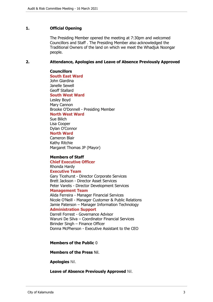#### **1. Official Opening**

The Presiding Member opened the meeting at 7:30pm and welcomed Councillors and Staff . The Presiding Member also acknowledged the Traditional Owners of the land on which we meet the Whadjuk Noongar people.

#### **2. Attendance, Apologies and Leave of Absence Previously Approved**

**Councillors South East Ward**  John Giardina Janelle Sewell Geoff Stallard **South West Ward** Lesley Boyd Mary Cannon Brooke O'Donnell - Presiding Member

**North West Ward**

Sue Bilich Lisa Cooper Dylan O'Connor

# **North Ward**

Cameron Blair Kathy Ritchie Margaret Thomas JP (Mayor)

#### **Members of Staff**

**Chief Executive Officer** Rhonda Hardy **Executive Team** Gary Ticehurst - Director Corporate Services Brett Jackson - Director Asset Services Peter Varelis - Director Development Services **Management Team**

Alida Ferreira - Manager Financial Services Nicole O'Neill - Manager Customer & Public Relations Jamie Paterson – Manager Information Technology **Administration Support**

Darrell Forrest - Governance Advisor Waruni De Silva – Coordinator Financial Services Birinder Singh – Finance Officer Donna McPherson - Executive Assistant to the CEO

**Members of the Public** 0

**Members of the Press** Nil.

**Apologies** Nil.

**Leave of Absence Previously Approved** Nil.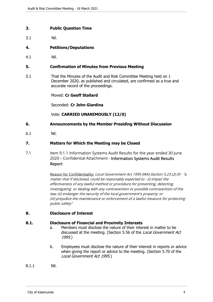# **3. Public Question Time**

3.1 Nil.

# **4. Petitions/Deputations**

4.1 Nil.

#### **5. Confirmation of Minutes from Previous Meeting**

5.1 That the Minutes of the Audit and Risk Committee Meeting held on 1 December 2020, as published and circulated, are confirmed as a true and accurate record of the proceedings.

Moved: **Cr Geoff Stallard**

Seconded: **Cr John Giardina**

Vote: **CARRIED UNANIMOUSLY (12/0)**

#### **6. Announcements by the Member Presiding Without Discussion**

6.1 Nil.

#### **7. Matters for Which the Meeting may be Closed**

7.1 Item 9.1.1 Information Systems Audit Results for the year ended 30 June 2020 – Confidential Attachment - Information Systems Audit Results Report

> Reason for Confidentiality: Local Government Act 1995 (WA) Section 5.23 (2) (f) - "a matter that if disclosed, could be reasonably expected to - (i) impair the effectiveness of any lawful method or procedure for preventing, detecting, investigating or dealing with any contravention or possible contravention of the law; (ii) endanger the security of the local government's property; or (iii) prejudice the maintenance or enforcement of a lawful measure for protecting public safety"

# **8. Disclosure of Interest**

#### **8.1. Disclosure of Financial and Proximity Interests**

- a. Members must disclose the nature of their interest in matter to be discussed at the meeting. (Section 5.56 of the Local Government Act 1995.)
- b. Employees must disclose the nature of their interest in reports or advice when giving the report or advice to the meeting. (Section 5.70 of the Local Government Act 1995.)
- 8.1.1 Nil.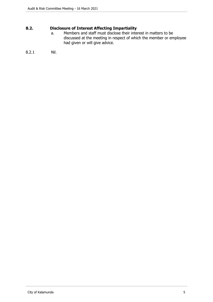# **8.2. Disclosure of Interest Affecting Impartiality**

a. Members and staff must disclose their interest in matters to be discussed at the meeting in respect of which the member or employee had given or will give advice.

# 8.2.1 Nil.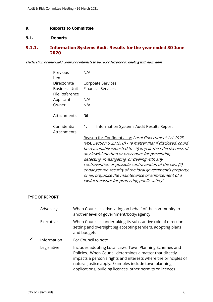# **9. Reports to Committee**

# **9.1. Reports**

# **9.1.1. Information Systems Audit Results for the year ended 30 June 2020**

# Declaration of financial / conflict of interests to be recorded prior to dealing with each item.

| Previous<br>Items                      | N/A                                                                                                                                                                                                                                                                                                                                                                                                                                                                                                                         |
|----------------------------------------|-----------------------------------------------------------------------------------------------------------------------------------------------------------------------------------------------------------------------------------------------------------------------------------------------------------------------------------------------------------------------------------------------------------------------------------------------------------------------------------------------------------------------------|
| Directorate                            | Corpoate Services                                                                                                                                                                                                                                                                                                                                                                                                                                                                                                           |
| <b>Business Unit</b><br>File Reference | <b>Financial Services</b>                                                                                                                                                                                                                                                                                                                                                                                                                                                                                                   |
| Applicant                              | N/A                                                                                                                                                                                                                                                                                                                                                                                                                                                                                                                         |
| Owner                                  | N/A                                                                                                                                                                                                                                                                                                                                                                                                                                                                                                                         |
| Attachments                            | Nil                                                                                                                                                                                                                                                                                                                                                                                                                                                                                                                         |
| Confidential<br>Attachments            | Information Systems Audit Results Report<br>1.                                                                                                                                                                                                                                                                                                                                                                                                                                                                              |
|                                        | Reason for Confidentiality: Local Government Act 1995<br>(WA) Section 5.23 (2) (f) - "a matter that if disclosed, could<br>be reasonably expected to - (i) impair the effectiveness of<br>any lawful method or procedure for preventing,<br>detecting, investigating or dealing with any<br>contravention or possible contravention of the law; (ii)<br>endanger the security of the local government's property;<br>or (iii) prejudice the maintenance or enforcement of a<br>lawful measure for protecting public safety" |

#### TYPE OF REPORT

|   | Advocacy    | When Council is advocating on behalf of the community to<br>another level of government/body/agency                                                                                                                                                                                                           |
|---|-------------|---------------------------------------------------------------------------------------------------------------------------------------------------------------------------------------------------------------------------------------------------------------------------------------------------------------|
|   | Executive   | When Council is undertaking its substantive role of direction<br>setting and oversight (eg accepting tenders, adopting plans<br>and budgets                                                                                                                                                                   |
| ✓ | Information | For Council to note                                                                                                                                                                                                                                                                                           |
|   | Legislative | Includes adopting Local Laws, Town Planning Schemes and<br>Policies. When Council determines a matter that directly<br>impacts a person's rights and interests where the principles of<br>natural justice apply. Examples include town planning<br>applications, building licences, other permits or licences |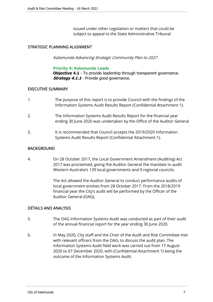issued under other Legislation or matters that could be subject to appeal to the State Administrative Tribunal

# STRATEGIC PLANNING ALIGNMENT

Kalamunda Advancing Strategic Community Plan to 2027

#### **Priority 4: Kalamunda Leads**

**Objective 4.1** - To provide leadership through transparent governance. **Strategy 4.1.1** - Provide good governance.

#### EXECUTIVE SUMMARY

| The purpose of this report is to provide Council with the findings of the |
|---------------------------------------------------------------------------|
| Information Systems Audit Results Report (Confidential Attachment 1).     |

- 2. The Information Systems Audit Results Report for the financial year ending 30 June 2020 was undertaken by the Office of the Auditor General
- 3. It is recommended that Council accepts the 2019/2020 Information Systems Audit Results Report (Confidential Attachment 1).

# BACKGROUND

4. On 28 October 2017, the Local Government Amendment (Auditing) Act 2017 was proclaimed, giving the Auditor General the mandate to audit Western Australia's 139 local governments and 9 regional councils.

> The Act allowed the Auditor General to conduct performance audits of local government entities from 28 October 2017. From the 2018/2019 financial year the City's audit will be performed by the Officer of the Auditor General (OAG).

# DETAILS AND ANALYSIS

- 5. The OAG Information Systems Audit was conducted as part of their audit of the annual financial report for the year ending 30 June 2020.
- 6. In May 2020, City staff and the Chair of the Audit and Risk Committee met with relevant officers from the OAG, to discuss the audit plan. The Information Systems Audit field work was carried out from 17 August 2020 to 07 December 2020, with (Confidential Attachment 1) being the outcome of the Information Systems Audit.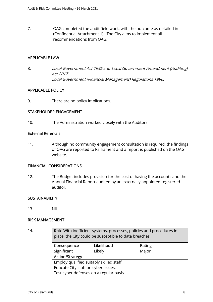7. OAG completed the audit field work, with the outcome as detailed in (Confidential Attachment 1). The City aims to implement all recommendations from OAG.

# APPLICABLE LAW

8. Local Government Act 1995 and Local Government Amendment (Auditing) Act 2017. Local Government (Financial Management) Regulations 1996.

# APPLICABLE POLICY

9. There are no policy implications.

# STAKEHOLDER ENGAGEMENT

10. The Administration worked closely with the Auditors.

#### External Referrals

11. Although no community engagement consultation is required, the findings of OAG are reported to Parliament and a report is published on the OAG website.

#### FINANCIAL CONSIDERATIONS

12. The Budget includes provision for the cost of having the accounts and the Annual Financial Report audited by an externally appointed registered auditor.

# **SUSTAINABILITY**

13. Nil.

# RISK MANAGEMENT

| 14. | Risk: With inefficient systems, processes, policies and procedures in<br>place, the City could be susceptible to data breaches. |            |        |  |  |
|-----|---------------------------------------------------------------------------------------------------------------------------------|------------|--------|--|--|
|     | Consequence                                                                                                                     | Likelihood | Rating |  |  |
|     | Significant                                                                                                                     | Likely     | Major  |  |  |
|     | <b>Action/Strategy</b>                                                                                                          |            |        |  |  |
|     | Employ qualified suitably skilled staff.                                                                                        |            |        |  |  |
|     | Educate City staff on cyber issues.                                                                                             |            |        |  |  |
|     | Test cyber defenses on a regular basis.                                                                                         |            |        |  |  |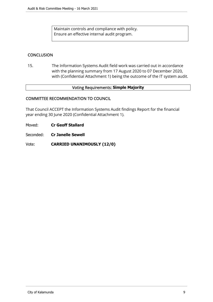Maintain controls and compliance with policy. Ensure an effective internal audit program.

# **CONCLUSION**

15. The Information Systems Audit field work was carried out in accordance with the planning summary from 17 August 2020 to 07 December 2020, with (Confidential Attachment 1) being the outcome of the IT system audit.

#### Voting Requirements: **Simple Majority**

#### COMMITTEE RECOMMENDATION TO COUNCIL

That Council ACCEPT the Information Systems Audit findings Report for the financial year ending 30 June 2020 (Confidential Attachment 1).

Moved: **Cr Geoff Stallard**

Seconded: **Cr Janelle Sewell**

Vote: **CARRIED UNANIMOUSLY (12/0)**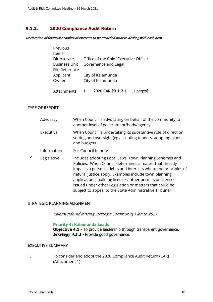# **9.1.2. 2020 Compliance Audit Return**

Declaration of financial / conflict of interests to be recorded prior to dealing with each item.

| Previous             |    |                                       |
|----------------------|----|---------------------------------------|
| Items                |    |                                       |
| Directorate          |    | Office of the Chief Executive Officer |
| <b>Business Unit</b> |    | Governance and Legal                  |
| File Reference       |    |                                       |
| Applicant            |    | City of Kalamunda                     |
| Owner                |    | City of Kalamunda                     |
|                      |    |                                       |
| Attachments          | 1. | 2020 CAR [9.1.2.1 - 11 pages]         |

TYPE OF REPORT

|   | Advocacy    | When Council is advocating on behalf of the community to<br>another level of government/body/agency                                                                                                                                                                                                                                                                                                                                |
|---|-------------|------------------------------------------------------------------------------------------------------------------------------------------------------------------------------------------------------------------------------------------------------------------------------------------------------------------------------------------------------------------------------------------------------------------------------------|
|   | Executive   | When Council is undertaking its substantive role of direction<br>setting and oversight (eg accepting tenders, adopting plans<br>and budgets                                                                                                                                                                                                                                                                                        |
|   | Information | For Council to note                                                                                                                                                                                                                                                                                                                                                                                                                |
| ✓ | Legislative | Includes adopting Local Laws, Town Planning Schemes and<br>Policies. When Council determines a matter that directly<br>impacts a person's rights and interests where the principles of<br>natural justice apply. Examples include town planning<br>applications, building licences, other permits or licences<br>issued under other Legislation or matters that could be<br>subject to appeal to the State Administrative Tribunal |

# STRATEGIC PLANNING ALIGNMENT

Kalamunda Advancing Strategic Community Plan to 2027

#### **Priority 4: Kalamunda Leads**

**Objective 4.1** - To provide leadership through transparent governance. **Strategy 4.1.1** - Provide good governance.

#### EXECUTIVE SUMMARY

1. To consider and adopt the 2020 Compliance Audit Return (CAR) (Attachment 1)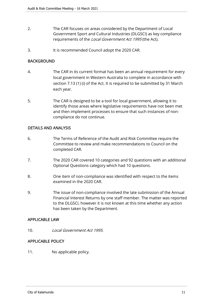- 2. The CAR focuses on areas considered by the Department of Local Government Sport and Cultural Industries (DLGSCI) as key compliance requirements of the Local Government Act 1995 (the Act).
- 3. It is recommended Council adopt the 2020 CAR.

# BACKGROUND

- 4. The CAR in its current format has been an annual requirement for every local government in Western Australia to complete in accordance with section 7.13 (1) (i) of the Act. It is required to be submitted by 31 March each year.
- 5. The CAR is designed to be a tool for local government, allowing it to identify those areas where legislative requirements have not been met and then implement processes to ensure that such instances of noncompliance do not continue.

# DETAILS AND ANALYSIS

- 6. The Terms of Reference of the Audit and Risk Committee require the Committee to review and make recommendations to Council on the completed CAR.
- 7. The 2020 CAR covered 10 categories and 92 questions with an additional Optional Questions category which had 10 questions.
- 8. One item of non-compliance was identified with respect to the items examined in the 2020 CAR.
- 9. The issue of non-compliance involved the late submission of the Annual Financial Interest Returns by one staff member. The matter was reported to the DLGSCI, however it is not known at this time whether any action has been taken by the Department.

# APPLICABLE LAW

10. Local Government Act 1995.

# APPLICABLE POLICY

11. No applicable policy.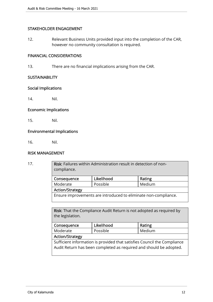# STAKEHOLDER ENGAGEMENT

12. Relevant Business Units provided input into the completion of the CAR, however no community consultation is required.

# FINANCIAL CONSIDERATIONS

13. There are no financial implications arising from the CAR.

#### **SUSTAINABILITY**

#### Social Implications

14. Nil.

# Economic Implications

15. Nil.

# Environmental Implications

16. Nil.

#### RISK MANAGEMENT

| 17. | Risk: Failures within Administration result in detection of non-<br>compliance. |            |        |  |  |
|-----|---------------------------------------------------------------------------------|------------|--------|--|--|
|     | Consequence                                                                     | Likelihood | Rating |  |  |
|     | Moderate                                                                        | Possible   | Medium |  |  |
|     | <b>Action/Strategy</b>                                                          |            |        |  |  |
|     | Ensure improvements are introduced to eliminate non-compliance.                 |            |        |  |  |
|     |                                                                                 |            |        |  |  |

Risk: That the Compliance Audit Return is not adopted as required by the legislation.

|                                                                          | Likelihood |        |  |  |  |  |
|--------------------------------------------------------------------------|------------|--------|--|--|--|--|
| Consequence                                                              |            | Rating |  |  |  |  |
| Moderate                                                                 | Possible   | Medium |  |  |  |  |
| <b>Action/Strategy</b>                                                   |            |        |  |  |  |  |
| Sufficient information is provided that satisfies Council the Compliance |            |        |  |  |  |  |
| Audit Return has been completed as required and should be adopted.       |            |        |  |  |  |  |
|                                                                          |            |        |  |  |  |  |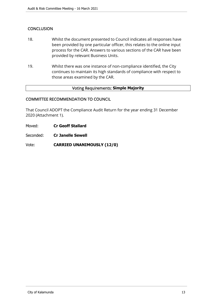# **CONCLUSION**

- 18. Whilst the document presented to Council indicates all responses have been provided by one particular officer, this relates to the online input process for the CAR. Answers to various sections of the CAR have been provided by relevant Business Units.
- 19. Whilst there was one instance of non-compliance identified, the City continues to maintain its high standards of compliance with respect to those areas examined by the CAR.

#### Voting Requirements: **Simple Majority**

#### COMMITTEE RECOMMENDATION TO COUNCIL

That Council ADOPT the Compliance Audit Return for the year ending 31 December 2020 (Attachment 1).

Moved: **Cr Geoff Stallard**

Seconded: **Cr Janelle Sewell**

Vote: **CARRIED UNANIMOUSLY (12/0)**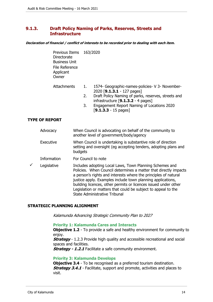# **9.1.3. Draft Policy Naming of Parks, Reserves, Streets and Infrastructure**

#### **Declaration of financial / conflict of interests to be recorded prior to dealing with each item.**

 Previous Items 163/2020 **Directorate**  Business Unit File Reference Applicant **Owner** 

| Attachments | 1574- Geographic-names-policies- V 3- November- |
|-------------|-------------------------------------------------|
|             | 2020 [9.1.3.1 - 127 pages]                      |

- 2. Draft Policy Naming of parks, reserves, streets and infrastructure [**9.1.3.2** - 4 pages]
- 3. Engagement Report Naming of Locations 2020 [**9.1.3.3** - 15 pages]

#### **TYPE OF REPORT**

|   | Advocacy    | When Council is advocating on behalf of the community to<br>another level of government/body/agency                                                                                                                                                                                                                              |
|---|-------------|----------------------------------------------------------------------------------------------------------------------------------------------------------------------------------------------------------------------------------------------------------------------------------------------------------------------------------|
|   | Executive   | When Council is undertaking is substantive role of direction<br>setting and oversight (eg accepting tenders, adopting plans and<br>budgets                                                                                                                                                                                       |
|   | Information | For Council to note                                                                                                                                                                                                                                                                                                              |
| ✓ | Legislative | Includes adopting Local Laws, Town Planning Schemes and<br>Policies. When Council determines a matter that directly impacts<br>a person's rights and interests where the principles of natural<br>justice apply. Examples include town planning applications,<br>building licences, other permits or licences issued under other |

#### **STRATEGIC PLANNING ALIGNMENT**

Kalamunda Advancing Strategic Community Plan to 2027

#### **Priority 1: Kalamunda Cares and Interacts**

State Administrative Tribunal

**Objective 1.2** - To provide a safe and healthy environment for community to enjoy.

Legislation or matters that could be subject to appeal to the

**Strategy** - 1.2.3 Provide high quality and accessible recreational and social spaces and facilities.

**Strategy - 1.2.1** Facilitate a safe community environment.

#### **Priority 3: Kalamunda Develops**

**Objective 3.4** - To be recognised as a preferred tourism destination. **Strategy 3.4.1** - Facilitate, support and promote, activities and places to visit.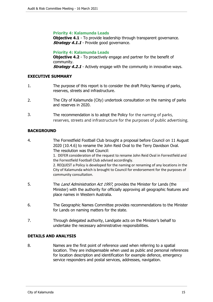#### **Priority 4: Kalamunda Leads**

**Objective 4.1** - To provide leadership through transparent governance. **Strategy 4.1.1** - Provide good governance.

#### **Priority 4: Kalamunda Leads**

**Objective 4.2** - To proactively engage and partner for the benefit of community. **Strategy 4.2.1** - Actively engage with the community in innovative ways.

#### **EXECUTIVE SUMMARY**

- 1. The purpose of this report is to consider the draft Policy Naming of parks, reserves, streets and infrastructure.
- 2. The City of Kalamunda (City) undertook consultation on the naming of parks and reserves in 2020.
- 3. The recommendation is to adopt the Policy for the naming of parks, reserves, streets and infrastructure for the purposes of public advertising.

# **BACKGROUND**

- 4. The Forrestfield Football Club brought a proposal before Council on 11 August 2020 (10.4.6) to rename the John Reid Oval to the Terry Davidson Oval. The resolution was that Council: 1. DEFER consideration of the request to rename John Reid Oval in Forrestfield and the Forrestfield Football Club advised accordingly. 2. REQUEST a Policy is developed for the naming or renaming of any locations in the City of Kalamunda which is brought to Council for endorsement for the purposes of community consultation. 5. The Land Administration Act 1997, provides the Minister for Lands (the Minister) with the authority for officially approving all geographic features and place names in Western Australia. 6. The Geographic Names Committee provides recommendations to the Minister for Lands on naming matters for the state.
- 7. Through delegated authority, Landgate acts on the Minister's behalf to undertake the necessary administrative responsibilities.

#### **DETAILS AND ANALYSIS**

8. Names are the first point of reference used when referring to a spatial location. They are indispensable when used as public and personal references for location description and identification for example defence, emergency service responders and postal services, addresses, navigation.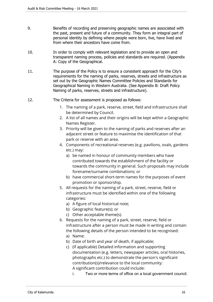- 9. Benefits of recording and preserving geographic names are associated with the past, present and future of a community. They form an integral part of personal identity by defining where people were born, live, have lived and from where their ancestors have come from.
- 10. In order to comply with relevant legislation and to provide an open and transparent naming process, policies and standards are required. (Appendix A: Copy of the Geographical.
- 11. The purpose of the Policy is to ensure a consistent approach for the City's requirements for the naming of parks, reserves, streets and infrastructure as set out by the Geographic Names Committee Policies and Standards for Geographical Naming in Western Australia. (See Appendix B: Draft Policy Naming of parks, reserves, streets and infrastructure).
- 12. The Criteria for assessment is proposed as follows:
	- 1. The naming of a park, reserve, street, field and infrastructure shall be determined by Council.
	- 2. A list of all names and their origins will be kept within a Geographic Names Register.
	- 3. Priority will be given to the naming of parks and reserves after an adjacent street or feature to maximise the identification of that park or reserve with an area.
	- 4. Components of recreational reserves (e.g. pavilions, ovals, gardens etc.) may:
		- a) be named in honour of community members who have contributed towards the establishment of the facility or towards the community in general. Such proposals may include forename/surname combinations; or
		- b) have commercial short-term names for the purposes of event promotion or sponsorship.
	- 5. All requests for the naming of a park, street, reserve, field or infrastructure must be identified within one of the following categories:
		- a) A figure of local historical note;
		- b) Geographic feature(s); or
		- c) Other acceptable theme(s).
	- 6. Requests for the naming of a park, street, reserve, field or infrastructure after a person must be made in writing and contain the following details of the person intended to be recognised:
		- a) Name;
		- b) Date of birth and year of death, if applicable;
		- c) (If applicable) Detailed information and supporting documentation (e.g. letters, newspaper articles, oral histories, photographs etc.) to demonstrate the person's significant contribution(s)/relevance to the local community: A significant contribution could include:
			- i. Two or more terms of office on a local government council.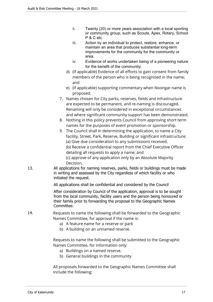- ii. Twenty (20) or more years association with a local sporting or community group, such as Scouts, Apex, Rotary, School P & C etc.
- iii. Action by an individual to protect, restore, enhance, or maintain an area that produces substantial long-term improvements for the community for the community or area.
- iv. Evidence of works undertaken being of a pioneering nature for the benefit of the community;
- d) (If applicable) Evidence of all efforts to gain consent from family members of the person who is being recognised in the name; and
- e) (if applicable) supporting commentary when Noongar name is proposed.
- 7. Names chosen for City parks, reserves, fields and infrastructure are expected to be permanent, and re-naming is discouraged. Renaming will only be considered in exceptional circumstances and where significant community support has been demonstrated.
- 8. Nothing in this policy prevents Council from approving short term names for the purposes of event promotion or sponsorship.
- 9. The Council shall in determining the application, to name a City facility, Street, Park, Reserve, Building or significant infrastructure: (a) Give due consideration to any submissions received;

(b) Receive a confidential report from the Chief Executive Officer detailing all requests to apply a name; and

(c) approve of any application only by an Absolute Majority Decision.

13. All applications for naming reserves, parks, fields or buildings must be made in writing and assessed by the City regardless of which facility or who initiated the request.

All applications shall be confidential and considered by the Council

After consideration by Council of the application, approval is to be sought from the local community, facility users and the person being honoured or their family prior to forwarding the proposal to the Geographic Names Committee.

# 14. Requests to name the following shall be forwarded to the Geographic Names Committee, for approval if the name is:

- a) A feature name for a reserve or park
- b) A building on an unnamed reserve.

Requests to name the following shall be submitted to the Geographic Names Committee, for information only:

- a) Buildings on a named reserve.
- b) General buildings in the community

All proposals forwarded to the Geographic Names Committee shall include the following: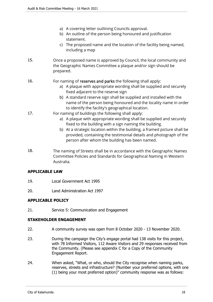- a) A covering letter outlining Councils approval.
- b) An outline of the person being honoured and justification statement.
- c) The proposed name and the location of the facility being named, including a map
- 15. Once a proposed name is approved by Council, the local community and the Geographic Names Committee a plaque and/or sign should be prepared.
- 16. For naming of reserves and parks the following shall apply:
	- a) A plaque with appropriate wording shall be supplied and securely fixed adjacent to the reserve sign
	- b) A standard reserve sign shall be supplied and installed with the name of the person being honoured and the locality name in order to identify the facility's geographical location.
- 17. For naming of buildings the following shall apply:
	- a) A plaque with appropriate wording shall be supplied and securely fixed to the building with a sign naming the building.
	- b) At a strategic location within the building, a framed picture shall be provided, containing the testimonial details and photograph of the person after whom the building has been named.
- 18. The naming of Streets shall be in accordance with the Geographic Names Committee Policies and Standards for Geographical Naming in Western Australia.

# **APPLICABLE LAW**

- 19. Local Government Act 1995
- 20. Land Administration Act 1997

# **APPLICABLE POLICY**

21. Service 5: Communication and Engagement

#### **STAKEHOLDER ENGAGEMENT**

- 22. A community survey was open from 8 October 2020 13 November 2020.
- 23. During the campaign the City's engage portal had 138 visits for this project, with 78 Informed Visitors, 112 Aware Visitors and 29 responses received from the Community. (Please see appendix C for a Copy of the Community Engagement Report.
- 24. When asked, "What, or who, should the City recognise when naming parks, reserves, streets and infrastructure? (Number your preferred options, with one (1) being your most preferred option)" community response was as follows: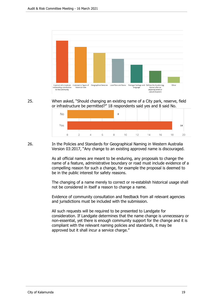

25. When asked, "Should changing an existing name of a City park, reserve, field or infrastructure be permitted?" 18 respondents said yes and 8 said No.



26. In the Policies and Standards for Geographical Naming in Western Australia Version 03:2017, "Any change to an existing approved name is discouraged.

> As all official names are meant to be enduring, any proposals to change the name of a feature, administrative boundary or road must include evidence of a compelling reason for such a change, for example the proposal is deemed to be in the public interest for safety reasons.

> The changing of a name merely to correct or re-establish historical usage shall not be considered in itself a reason to change a name.

Evidence of community consultation and feedback from all relevant agencies and jurisdictions must be included with the submission.

All such requests will be required to be presented to Landgate for consideration. If Landgate determines that the name change is unnecessary or non-essential, yet there is enough community support for the change and it is compliant with the relevant naming policies and standards, it may be approved but it shall incur a service charge."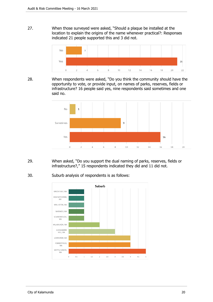27. When those surveyed were asked, "Should a plaque be installed at the location to explain the origins of the name whenever practical?: Responses indicated 21 people supported this and 3 did not.



28. When respondents were asked, "Do you think the community should have the opportunity to vote, or provide input, on names of parks, reserves, fields or infrastructure? 16 people said yes, nine respondents said sometimes and one said no.



- 29. When asked, "Do you support the dual naming of parks, reserves, fields or infrastructure?," 15 respondents indicated they did and 11 did not.
- 30. Suburb analysis of respondents is as follows:

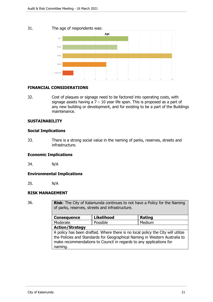#### 31. The age of respondents was:



#### **FINANCIAL CONSIDERATIONS**

32. Cost of plaques or signage need to be factored into operating costs, with signage assets having a  $7 - 10$  year life span. This is proposed as a part of any new building or development, and for existing to be a part of the Buildings maintenance.

#### **SUSTAINABILITY**

# **Social Implications**

33. There is a strong social value in the naming of parks, reserves, streets and infrastructure.

#### **Economic Implications**

34. N/A

# **Environmental Implications**

35. N/A

#### **RISK MANAGEMENT**

36. **Risk**: The City of Kalamunda continues to not have a Policy for the Naming of parks, reserves, streets and infrastructure.

| <b>Consequence</b>     | <b>Likelihood</b>                                                  | <b>Rating</b>                                                                                                                                                 |  |  |  |
|------------------------|--------------------------------------------------------------------|---------------------------------------------------------------------------------------------------------------------------------------------------------------|--|--|--|
| Moderate               | Possible                                                           | Medium                                                                                                                                                        |  |  |  |
| <b>Action/Strategy</b> |                                                                    |                                                                                                                                                               |  |  |  |
| naming.                | make recommendations to Council in regards to any applications for | A policy has been drafted. Where there is no local policy the City will utilize<br>the Policies and Standards for Geographical Naming in Western Australia to |  |  |  |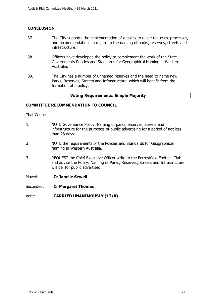# **CONCLUSION**

- 37. The City supports the implementation of a policy to guide requests, processes, and recommendations in regard to the naming of parks, reserves, streets and infrastructure.
- 38. Officers have developed the policy to complement the work of the State Governments Policies and Standards for Geographical Naming in Western Australia.
- 39. The City has a number of unnamed reserves and the need to name new Parks, Reserves, Streets and Infrastructure, which will benefit from the formation of a policy.

#### **Voting Requirements: Simple Majority**

#### **COMMITTEE RECOMMENDATION TO COUNCIL**

That Council:

- 1. NOTE Governance Policy: Naming of parks, reserves, streets and infrastructure for the purposes of public advertising for a period of not less than 28 days.
- 2. NOTE the requirements of the Policies and Standards for Geographical Naming in Western Australia.
- 3. REQUEST the Chief Executive Officer write to the Forrestfield Football Club and advise the Policy: Naming of Parks, Reserves, Streets and Infrastructure will be for public advertised.
- Moved: **Cr Janelle Sewell**
- Seconded: **Cr Margaret Thomas**

Vote: **CARRIED UNANIMOUSLY (12/0)**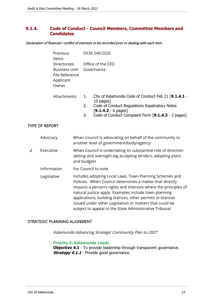# **9.1.4. Code of Conduct - Council Members, Committee Members and Candidates**

Declaration of financial / conflict of interests to be recorded prior to dealing with each item.

| Previous<br>ltems                                                    | OCM 240/2020                                                                                                                                                                                                               |
|----------------------------------------------------------------------|----------------------------------------------------------------------------------------------------------------------------------------------------------------------------------------------------------------------------|
| Directorate<br>Business Unit<br>File Reference<br>Applicant<br>Owner | Office of the CEO<br>Governance                                                                                                                                                                                            |
| Attachments                                                          | City of Kalamunda Code of Conduct Feb 21 [9.1.4.1 -<br>1.<br>10 pages]<br>2.<br>Code of Conduct Regulations Expalnatory Notes<br>$[9.1.4.2 - 6 \text{ pages}]$<br>Code of Conduct Complaint Form [9.1.4.3 - 2 pages]<br>3. |
| <b>TYPE OF REPORT</b>                                                |                                                                                                                                                                                                                            |
| Advocacy                                                             | When Council is advocating on behalf of the community to                                                                                                                                                                   |

|   |             | another level of government/body/agency                                                                                                                                                                                                                                                                                                                                                                                            |
|---|-------------|------------------------------------------------------------------------------------------------------------------------------------------------------------------------------------------------------------------------------------------------------------------------------------------------------------------------------------------------------------------------------------------------------------------------------------|
| √ | Executive   | When Council is undertaking its substantive role of direction<br>setting and oversight (eg accepting tenders, adopting plans<br>and budgets                                                                                                                                                                                                                                                                                        |
|   | Information | For Council to note                                                                                                                                                                                                                                                                                                                                                                                                                |
|   | Legislative | Includes adopting Local Laws, Town Planning Schemes and<br>Policies. When Council determines a matter that directly<br>impacts a person's rights and interests where the principles of<br>natural justice apply. Examples include town planning<br>applications, building licences, other permits or licences<br>issued under other Legislation or matters that could be<br>subject to appeal to the State Administrative Tribunal |

#### STRATEGIC PLANNING ALIGNMENT

Kalamunda Advancing Strategic Community Plan to 2027

#### **Priority 4: Kalamunda Leads**

**Objective 4.1** - To provide leadership through transparent governance. **Strategy 4.1.1** - Provide good governance.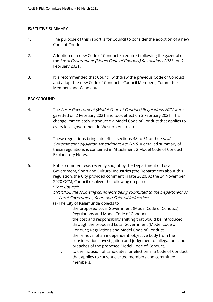# EXECUTIVE SUMMARY

- 1. The purpose of this report is for Council to consider the adoption of a new Code of Conduct.
- 2. Adoption of a new Code of Conduct is required following the gazettal of the Local Government (Model Code of Conduct) Regulations 2021, on 2 February 2021.
- 3. It is recommended that Council withdraw the previous Code of Conduct and adopt the new Code of Conduct – Council Members, Committee Members and Candidates.

# **BACKGROUND**

- 4. The Local Government (Model Code of Conduct) Regulations 2021 were gazetted on 2 February 2021 and took effect on 3 February 2021. This change immediately introduced a Model Code of Conduct that applies to every local government in Western Australia.
- 5. These regulations bring into effect sections 48 to 51 of the Local Government Legislation Amendment Act 2019. A detailed summary of these regulations is contained in Attachment 2 Model Code of Conduct – Explanatory Notes.
- 6. Public comment was recently sought by the Department of Local Government, Sport and Cultural Industries (the Department) about this regulation, the City provided comment in late 2020. At the 24 November 2020 OCM, Council resolved the following (in part):

# "That Council:

ENDORSE the following comments being submitted to the Department of Local Government, Sport and Cultural Industries:

- (a) The City of Kalamunda objects to
	- i. the proposed Local Government (Model Code of Conduct) Regulations and Model Code of Conduct.
	- ii. the cost and responsibility shifting that would be introduced through the proposed Local Government (Model Code of Conduct) Regulations and Model Code of Conduct.
	- iii. the removal of an independent, objective body from the consideration, investigation and judgement of allegations and breaches of the proposed Model Code of Conduct.
	- iv. to the inclusion of candidates for election in a Code of Conduct that applies to current elected members and committee members.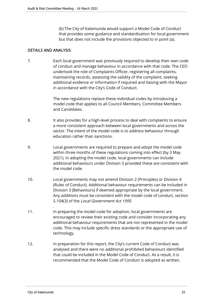(b) The City of Kalamunda would support a Model Code of Conduct that provides some guidance and standardisation for local government but that does not include the provisions objected to in point (a).

# DETAILS AND ANALYSIS

7. Each local government was previously required to develop their own code of conduct and manage behaviour in accordance with that code. The CEO undertook the role of Complaints Officer, registering all complaints, maintaining records, assessing the validity of the complaint, seeking additional evidence or information if required and liaising with the Mayor in accordance with the City's Code of Conduct.

> The new regulations replace these individual codes by introducing a model code that applies to all Council Members, Committee Members and Candidates.

- 8. It also provides for a high-level process to deal with complaints to ensure a more consistent approach between local governments and across the sector. The intent of the model code is to address behaviour through education rather than sanctions.
- 9. Local governments are required to prepare and adopt the model code within three months of these regulations coming into effect (by 3 May 2021). In adopting the model code, local governments can include additional behaviours under Division 3 provided these are consistent with the model code.
- 10. Local governments may not amend Division 2 (Principles) or Division 4 (Rules of Conduct). Additional behaviour requirements can be included in Division 3 (Behaviours) if deemed appropriate by the local government. Any additions must be consistent with the model code of conduct, section 5.104(3) of the Local Government Act 1995.
- 11. In preparing the model code for adoption, local governments are encouraged to review their existing code and consider incorporating any additional behaviour requirements that are not represented in the model code. This may include specific dress standards or the appropriate use of technology.
- 12. In preparation for this report, the City's current Code of Conduct was analysed and there were no additional prohibited behaviours identified that could be included in the Model Code of Conduct. As a result, it is recommended that the Model Code of Conduct is adopted as written.

.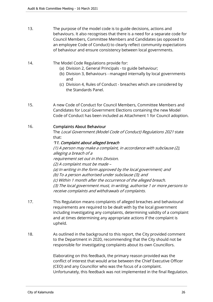- 13. The purpose of the model code is to guide decisions, actions and behaviours. It also recognises that there is a need for a separate code for Council Members, Committee Members and Candidates (as opposed to an employee Code of Conduct) to clearly reflect community expectations of behaviour and ensure consistency between local governments.
- 14. The Model Code Regulations provide for:
	- (a) Division 2, General Principals to guide behaviour;
	- (b) Division 3, Behaviours managed internally by local governments and
	- (c) Division 4, Rules of Conduct breaches which are considered by the Standards Panel.
- 15. A new Code of Conduct for Council Members, Committee Members and Candidates for Local Government Elections containing the new Model Code of Conduct has been included as Attachment 1 for Council adoption.

# 16. Complaints About Behaviour

The Local Government (Model Code of Conduct) Regulations 2021 state that:

# '11. Complaint about alleged breach

(1) A person may make a complaint, in accordance with subclause (2), alleging a breach of a requirement set out in this Division. (2) A complaint must be made – (a) In writing in the form approved by the local government; and (b) To a person authorised under subclause (3); and (c) Within 1 month after the occurrence of the alleged breach. (3) The local government must, in writing, authorise 1 or more persons to receive complaints and withdrawals of complaints.

- 17. This Regulation means complaints of alleged breaches and behavioural requirements are required to be dealt with by the local government including investigating any complaints, determining validity of a complaint and at times determining any appropriate actions if the complaint is upheld.
- 18. As outlined in the background to this report, the City provided comment to the Department in 2020, recommending that the City should not be responsible for investigating complaints about its own Councillors.

Elaborating on this feedback, the primary reason provided was the conflict of interest that would arise between the Chief Executive Officer (CEO) and any Councillor who was the focus of a complaint. Unfortunately, this feedback was not implemented in the final Regulation.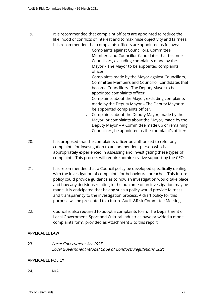- 19. It is recommended that complaint officers are appointed to reduce the likelihood of conflicts of interest and to maximise objectivity and fairness. It is recommended that complaints officers are appointed as follows:
	- i. Complaints against Councillors, Committee Members and Councillor Candidates that become Councillors, excluding complaints made by the Mayor – The Mayor to be appointed complaints officer.
	- ii. Complaints made by the Mayor against Councillors, Committee Members and Councillor Candidates that become Councillors - The Deputy Mayor to be appointed complaints officer.
	- iii. Complaints about the Mayor, excluding complaints made by the Deputy Mayor – The Deputy Mayor to be appointed complaints officer.
	- iv. Complaints about the Deputy Mayor, made by the Mayor; or complaints about the Mayor, made by the Deputy Mayor – A Committee made up of remaining Councillors, be appointed as the complaint's officers.
- 20. It is proposed that the complaints officer be authorised to refer any complaints for investigation to an independent person who is appropriately experienced in assessing and investigating these types of complaints. This process will require administrative support by the CEO.
- 21. It is recommended that a Council policy be developed specifically dealing with the investigation of complaints for behavioural breaches. This future policy could provide guidance as to how an investigation would take place and how any decisions relating to the outcome of an investigation may be made. It is anticipated that having such a policy would provide fairness and transparency to the investigation process. A draft policy for this purpose will be presented to a future Audit &Risk Committee Meeting.
- 22. Council is also required to adopt a complaints form. The Department of Local Government, Sport and Cultural Industries have provided a model complaints form, provided as Attachment 3 to this report.

# APPLICABLE LAW

23. Local Government Act 1995 Local Government (Model Code of Conduct) Regulations 2021

# APPLICABLE POLICY

24. N/A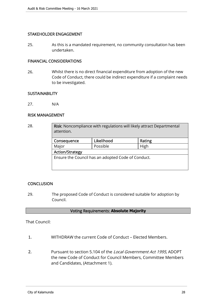# STAKEHOLDER ENGAGEMENT

25. As this is a mandated requirement, no community consultation has been undertaken.

#### FINANCIAL CONSIDERATIONS

26. Whilst there is no direct financial expenditure from adoption of the new Code of Conduct, there could be indirect expenditure if a complaint needs to be investigated.

#### **SUSTAINABILITY**

27. N/A

# RISK MANAGEMENT

| 28. | <b>Risk:</b> Noncompliance with regulations will likely attract Departmental<br>attention. |            |        |  |  |
|-----|--------------------------------------------------------------------------------------------|------------|--------|--|--|
|     | Consequence                                                                                | Likelihood | Rating |  |  |
|     | Major                                                                                      | Possible   | High   |  |  |
|     | <b>Action/Strategy</b>                                                                     |            |        |  |  |
|     | Ensure the Council has an adopted Code of Conduct.                                         |            |        |  |  |
|     |                                                                                            |            |        |  |  |
|     |                                                                                            |            |        |  |  |

# **CONCLUSION**

29. The proposed Code of Conduct is considered suitable for adoption by Council.

# Voting Requirements: **Absolute Majority**

# That Council:

- 1. WITHDRAW the current Code of Conduct Elected Members.
- 2. Pursuant to section 5.104 of the Local Government Act 1995, ADOPT the new Code of Conduct for Council Members, Committee Members and Candidates, (Attachment 1).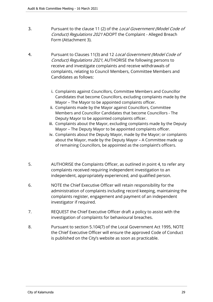- 3. Pursuant to the clause 11 (2) of the Local Government (Model Code of Conduct) Regulations 2021 ADOPT the Complaint - Alleged Breach Form (Attachment 3).
- 4. Pursuant to Clauses 11(3) and 12 Local Government (Model Code of Conduct) Regulations 2021, AUTHORISE the following persons to receive and investigate complaints and receive withdrawals of complaints, relating to Council Members, Committee Members and Candidates as follows:
	- i. Complaints against Councillors, Committee Members and Councillor Candidates that become Councillors, excluding complaints made by the Mayor – The Mayor to be appointed complaints officer.
	- ii. Complaints made by the Mayor against Councillors, Committee Members and Councillor Candidates that become Councillors - The Deputy Mayor to be appointed complaints officer.
	- iii. Complaints about the Mayor, excluding complaints made by the Deputy Mayor – The Deputy Mayor to be appointed complaints officer.
	- iv. Complaints about the Deputy Mayor, made by the Mayor; or complaints about the Mayor, made by the Deputy Mayor – A Committee made up of remaining Councillors, be appointed as the complaint's officers.
- 5. AUTHORISE the Complaints Officer, as outlined in point 4, to refer any complaints received requiring independent investigation to an independent, appropriately experienced, and qualified person.
- 6. NOTE the Chief Executive Officer will retain responsibility for the administration of complaints including record keeping, maintaining the complaints register, engagement and payment of an independent investigator if required.
- 7. REQUEST the Chief Executive Officer draft a policy to assist with the investigation of complaints for behavioural breaches.
- 8. Pursuant to section 5.104(7) of the Local Government Act 1995, NOTE the Chief Executive Officer will ensure the approved Code of Conduct is published on the City's website as soon as practicable.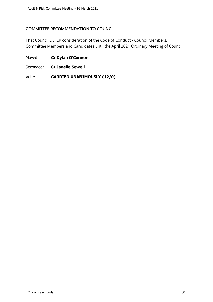# COMMITTEE RECOMMENDATION TO COUNCIL

That Council DEFER consideration of the Code of Conduct - Council Members, Committee Members and Candidates until the April 2021 Ordinary Meeting of Council.

Moved: **Cr Dylan O'Connor**

Seconded: **Cr Janelle Sewell**

Vote: **CARRIED UNANIMOUSLY (12/0)**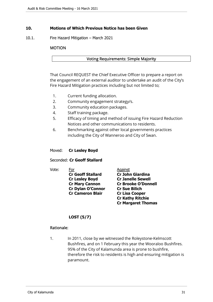# **10. Motions of Which Previous Notice has been Given**

10.1. Fire Hazard Mitigation – March 2021

#### MOTION

#### Voting Requirements: Simple Majority

That Council REQUEST the Chief Executive Officer to prepare a report on the engagement of an external auditor to undertake an audit of the City's Fire Hazard Mitigation practices including but not limited to;

- 1. Current funding allocation.
- 2. Community engagement strategy/s.
- 3. Community education packages.
- 4. Staff training package.
- 5. Efficacy of timing and method of issuing Fire Hazard Reduction Notices and other communications to residents.
- 6. Benchmarking against other local governments practices including the City of Wanneroo and City of Swan.

#### Moved: **Cr Lesley Boyd**

# Seconded: **Cr Geoff Stallard**

Vote: For Against

 **Cr Geoff Stallard Cr John Giardina Cr Lesley Boyd Cr Janelle Sewell Cr Dylan O'Connor Cr Sue Bilich Cr Cameron Blair Cr Lisa Cooper** 

 **Cr Mary Cannon Cr Brooke O'Donnell Cr Kathy Ritchie Cr Margaret Thomas** 

# **LOST (5/7)**

#### Rationale:

1. In 2011, close by we witnessed the Roleystone-Kelmscott Bushfires, and on 1 February this year the Wooraloo Bushfires. 95% of the City of Kalamunda area is prone to bushfire, therefore the risk to residents is high and ensuring mitigation is paramount.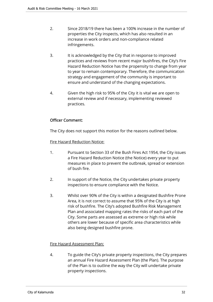- 2. Since 2018/19 there has been a 100% increase in the number of properties the City inspects, which has also resulted in an increase in work orders and non-compliance related infringements.
- 3. It is acknowledged by the City that in response to improved practices and reviews from recent major bushfires, the City's Fire Hazard Reduction Notice has the propensity to change from year to year to remain contemporary. Therefore, the communication strategy and engagement of the community is important to ensure and understand of the changing expectations.
- 4. Given the high risk to 95% of the City it is vital we are open to external review and if necessary, implementing reviewed practices.

# Officer Comment:

The City does not support this motion for the reasons outlined below.

Fire Hazard Reduction Notice:

- 1. Pursuant to Section 33 of the Bush Fires Act 1954, the City issues a Fire Hazard Reduction Notice (the Notice) every year to put measures in place to prevent the outbreak, spread or extension of bush fire.
- 2. In support of the Notice, the City undertakes private property inspections to ensure compliance with the Notice.
- 3. Whilst over 90% of the City is within a designated Bushfire Prone Area, it is not correct to assume that 95% of the City is at high risk of bushfire. The City's adopted Bushfire Risk Management Plan and associated mapping rates the risks of each part of the City. Some parts are assessed as extreme or high risk while others are lower because of specific area characteristics while also being designed bushfire prone.

# Fire Hazard Assessment Plan:

4. To guide the City's private property inspections, the City prepares an annual Fire Hazard Assessment Plan (the Plan). The purpose of the Plan is to outline the way the City will undertake private property inspections.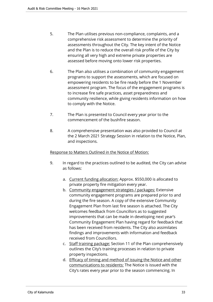- 5. The Plan utilises previous non-compliance, complaints, and a comprehensive risk assessment to determine the priority of assessments throughout the City. The key intent of the Notice and the Plan is to reduce the overall risk profile of the City by ensuring all very high and extreme private properties are assessed before moving onto lower risk properties.
- 6. The Plan also utilises a combination of community engagement programs to support the assessments, which are focused on empowering residents to be fire ready before the 1 November assessment program. The focus of the engagement programs is to increase fire safe practices, asset preparedness and community resilience, while giving residents information on how to comply with the Notice.
- 7. The Plan is presented to Council every year prior to the commencement of the bushfire season.
- 8. A comprehensive presentation was also provided to Council at the 2 March 2021 Strategy Session in relation to the Notice, Plan, and inspections.

# Response to Matters Outlined in the Notice of Motion:

- 9. In regard to the practices outlined to be audited, the City can advise as follows:
	- a. Current funding allocation: Approx. \$550,000 is allocated to private property fire mitigation every year.
	- b. Community engagement strategies / packages: Extensive community engagement programs are prepared prior to and during the fire season. A copy of the extensive Community Engagement Plan from last fire season is attached. The City welcomes feedback from Councillors as to suggested improvements that can be made in developing next year's Community Engagement Plan having regard for feedback that has been received from residents. The City also assimilates findings and improvements with information and feedback received from Councillors.
	- c. Staff training package: Section 11 of the Plan comprehensively outlines the City's training processes in relation to private property inspections.
	- d. Efficacy of timing and method of issuing the Notice and other communications to residents: The Notice is issued with the City's rates every year prior to the season commencing. In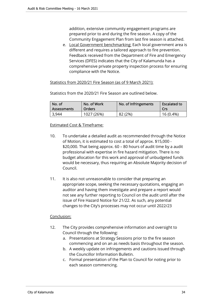addition, extensive community engagement programs are prepared prior to and during the fire season. A copy of the Community Engagement Plan from last fire season is attached.

e. Local Government benchmarking: Each local government area is different and requires a tailored approach to fire prevention. Feedback received from the Department of Fire and Emergency Services (DFES) indicates that the City of Kalamunda has a comprehensive private property inspection process for ensuring compliance with the Notice.

#### Statistics from 2020/21 Fire Season (as of 9 March 2021):

Statistics from the 2020/21 Fire Season are outlined below.

| No. of             | No. of Work | No. of Infringements | <b>Escalated to</b> |
|--------------------|-------------|----------------------|---------------------|
| <b>Assessments</b> | Orders      |                      | Crs                 |
| 3,944              | 1027 (26%)  | 82 (2%)              | 16 (0.4%)           |

#### Estimated Cost & Timeframe:

- 10. To undertake a detailed audit as recommended through the Notice of Motion, it is estimated to cost a total of approx. \$15,000 - \$20,000. That being approx. 60 – 80 hours of audit time by a audit professional with expertise in fire hazard mitigation. There is no budget allocation for this work and approval of unbudgeted funds would be necessary, thus requiring an Absolute Majority decision of Council.
- 11. It is also not unreasonable to consider that preparing an appropriate scope, seeking the necessary quotations, engaging an auditor and having them investigate and prepare a report would not see any further reporting to Council on the audit until after the issue of Fire Hazard Notice for 21/22. As such, any potential changes to the City's processes may not occur until 2022/23

# Conclusion:

- 12. The City provides comprehensive information and oversight to Council through the following:
	- a. Presentations at Strategy Sessions prior to the fire season commencing and on an as needs basis throughout the season.
	- b. A weekly update on infringements and cautions issued through the Councillor Information Bulletin.
	- c. Formal presentation of the Plan to Council for noting prior to each season commencing.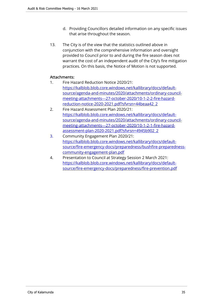- d. Providing Councillors detailed information on any specific issues that arise throughout the season.
- 13. The City is of the view that the statistics outlined above in conjunction with the comprehensive information and oversight provided to Council prior to and during the fire season does not warrant the cost of an independent audit of the City's fire mitigation practices. On this basis, the Notice of Motion is not supported.

# Attachments:

- 1. Fire Hazard Reduction Notice 2020/21: https://kalblob.blob.core.windows.net/kallibrary/docs/defaultsource/agenda-and-minutes/2020/attachments/ordinary-councilmeeting-attachments---27-october-2020/10-1-2-2-fire-hazardreduction-notice-2020-2021.pdf?sfvrsn=44beaa42\_2
- 2. Fire Hazard Assessment Plan 2020/21: https://kalblob.blob.core.windows.net/kallibrary/docs/defaultsource/agenda-and-minutes/2020/attachments/ordinary-councilmeeting-attachments---27-october-2020/10-1-2-1-fire-hazardassessment-plan-2020-2021.pdf?sfvrsn=4945b902\_2
- 3. Community Engagement Plan 2020/21: https://kalblob.blob.core.windows.net/kallibrary/docs/defaultsource/fire-emergency-docs/preparedness/bushfire-preparednesscommunity-engagement-plan.pdf
- 4. Presentation to Council at Strategy Session 2 March 2021: https://kalblob.blob.core.windows.net/kallibrary/docs/defaultsource/fire-emergency-docs/preparedness/fire-prevention.pdf